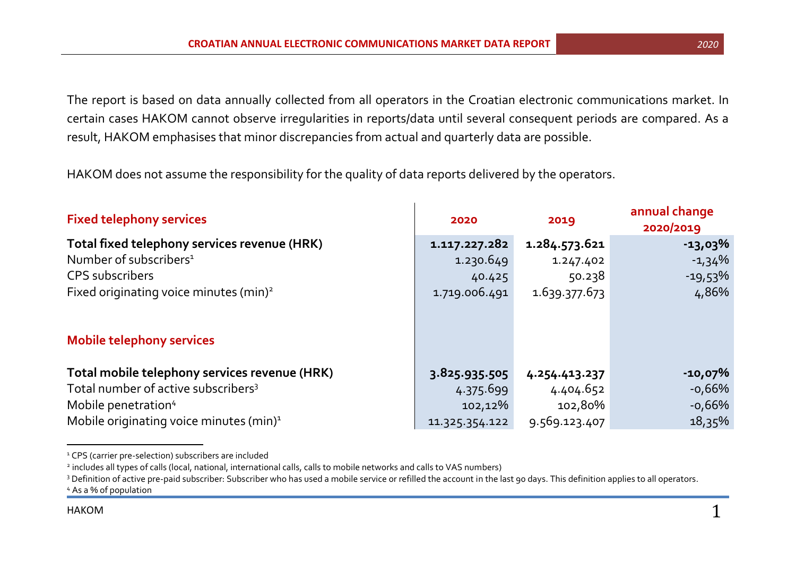The report is based on data annually collected from all operators in the Croatian electronic communications market. In certain cases HAKOM cannot observe irregularities in reports/data until several consequent periods are compared. As a result, HAKOM emphasises that minor discrepancies from actual and quarterly data are possible.

HAKOM does not assume the responsibility for the quality of data reports delivered by the operators.

| <b>Fixed telephony services</b>                     | 2020           | 2019          | annual change<br>2020/2019 |
|-----------------------------------------------------|----------------|---------------|----------------------------|
| Total fixed telephony services revenue (HRK)        | 1.117.227.282  | 1.284.573.621 | $-13,03\%$                 |
| Number of subscribers <sup>1</sup>                  | 1.230.649      | 1.247.402     | $-1,34%$                   |
| <b>CPS</b> subscribers                              | 40.425         | 50.238        | $-19,53\%$                 |
| Fixed originating voice minutes (min) <sup>2</sup>  | 1.719.006.491  | 1.639.377.673 | 4,86%                      |
| <b>Mobile telephony services</b>                    |                |               |                            |
| Total mobile telephony services revenue (HRK)       | 3.825.935.505  | 4.254.413.237 | $-10,07\%$                 |
| Total number of active subscribers <sup>3</sup>     | 4.375.699      | 4.404.652     | $-0,66\%$                  |
| Mobile penetration <sup>4</sup>                     | 102,12%        | 102,80%       | $-0,66%$                   |
| Mobile originating voice minutes (min) <sup>1</sup> | 11.325.354.122 | 9.569.123.407 | $18,35\%$                  |

<sup>&</sup>lt;sup>1</sup> CPS (carrier pre-selection) subscribers are included

 $\overline{a}$ 

<sup>2</sup> includes all types of calls (local, national, international calls, calls to mobile networks and calls to VAS numbers)

<sup>&</sup>lt;sup>3</sup> Definition of active pre-paid subscriber: Subscriber who has used a mobile service or refilled the account in the last 90 days. This definition applies to all operators. <sup>4</sup> As a % of population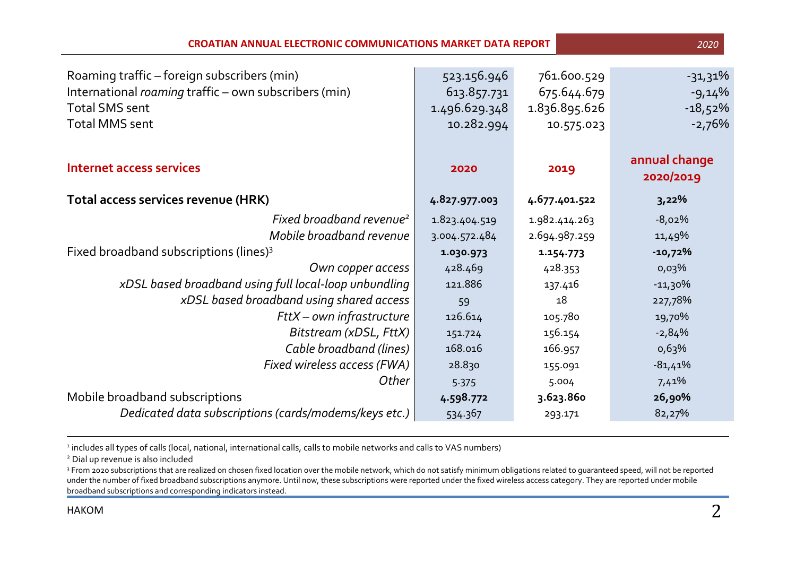| <b>CROATIAN ANNUAL ELECTRONIC COMMUNICATIONS MARKET DATA REPORT</b><br>2020                                                                            |                                                           |                                                           |                                                 |  |  |
|--------------------------------------------------------------------------------------------------------------------------------------------------------|-----------------------------------------------------------|-----------------------------------------------------------|-------------------------------------------------|--|--|
| Roaming traffic – foreign subscribers (min)<br>International roaming traffic - own subscribers (min)<br><b>Total SMS sent</b><br><b>Total MMS sent</b> | 523.156.946<br>613.857.731<br>1.496.629.348<br>10.282.994 | 761.600.529<br>675.644.679<br>1.836.895.626<br>10.575.023 | $-31,31\%$<br>$-9,14%$<br>$-18,52%$<br>$-2,76%$ |  |  |
| <b>Internet access services</b>                                                                                                                        | 2020                                                      | 2019                                                      | annual change<br>2020/2019                      |  |  |
| Total access services revenue (HRK)                                                                                                                    | 4.827.977.003                                             | 4.677.401.522                                             | 3,22%                                           |  |  |
| Fixed broadband revenue <sup>2</sup>                                                                                                                   | 1.823.404.519                                             | 1.982.414.263                                             | $-8,02%$                                        |  |  |
| Mobile broadband revenue                                                                                                                               | 3.004.572.484                                             | 2.694.987.259                                             | 11,49%                                          |  |  |
| Fixed broadband subscriptions (lines) <sup>3</sup>                                                                                                     | 1.030.973                                                 | 1.154.773                                                 | $-10,72%$                                       |  |  |
| Own copper access                                                                                                                                      | 428.469                                                   | 428.353                                                   | 0,03%                                           |  |  |
| xDSL based broadband using full local-loop unbundling                                                                                                  | 121.886                                                   | 137.416                                                   | $-11,30%$                                       |  |  |
| xDSL based broadband using shared access                                                                                                               | 59                                                        | 18                                                        | 227,78%                                         |  |  |
| FttX - own infrastructure                                                                                                                              | 126.614                                                   | 105.780                                                   | 19,70%                                          |  |  |
| Bitstream (xDSL, FttX)                                                                                                                                 | 151.724                                                   | 156.154                                                   | $-2,84%$                                        |  |  |
| Cable broadband (lines)                                                                                                                                | 168.016                                                   | 166.957                                                   | 0,63%                                           |  |  |
| Fixed wireless access (FWA)                                                                                                                            | 28.830                                                    | 155.091                                                   | $-81,41%$                                       |  |  |
| Other                                                                                                                                                  | 5.375                                                     | 5.004                                                     | 7,41%                                           |  |  |
| Mobile broadband subscriptions                                                                                                                         | 4.598.772                                                 | 3.623.860                                                 | 26,90%                                          |  |  |
| Dedicated data subscriptions (cards/modems/keys etc.)                                                                                                  | 534.367                                                   | 293.171                                                   | 82,27%                                          |  |  |

<sup>1</sup> includes all types of calls (local, national, international calls, calls to mobile networks and calls to VAS numbers)

<sup>2</sup> Dial up revenue is also included

<sup>3</sup> From 2020 subscriptions that are realized on chosen fixed location over the mobile network, which do not satisfy minimum obligations related to guaranteed speed, will not be reported under the number of fixed broadband subscriptions anymore. Until now, these subscriptions were reported under the fixed wireless access category. They are reported under mobile broadband subscriptions and corresponding indicators instead.

 $\overline{a}$